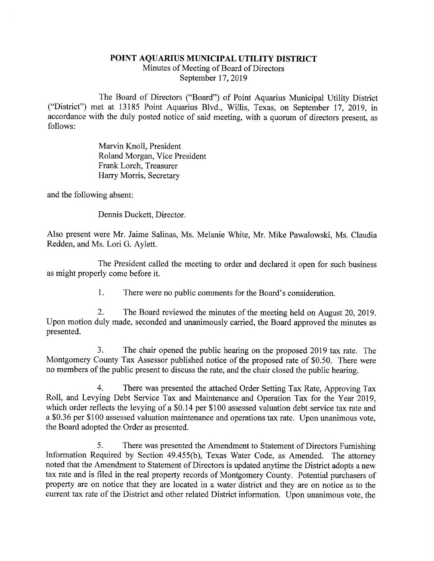## POINT AQUAMUS MUNICIPAL UTILITY DISTRICT

Minutes of Meeting of Board of Directors September 17, 2019

The Board of Directors ("Board") of Point Aquarius Municipal Utility District ("District") met at 13185 Point Aquarius Blvd., Willis, Texas, on September 17, 2019, in accordance with the duly posted notice of said meeting, with a quorum of directors present, as follows:

> Marvin Knoll, President Roland Morgan, Vice President Frank Lorch, Treasurer Harry Morris, Secretary

and the following absent:

Dennis Duckett, Director.

Also present were Mr. Jaime Salinas, Ms. Melanie White, Mr. Mike Pawalowski, Ms. Claudia Redden, and Ms. Lori G. Aylett.

The President called the meeting to order and declared it open for such business as might properly come before it.

1. There were no public comments for the Board's consideration.

2. The Board reviewed the minutes of the meeting held on August 20, 2019. Upon motion duly made, seconded and unanimously carried, the Board approved the minutes as presented.

3. The chair opened the public hearing on the proposed 2019 tax rate. The Montgomery County Tax Assessor published notice of the proposed rate of \$0.50. There were no members of the public present to discuss the rate, and the chair closed the public hearing.

4. There was presented the attached Order Setting Tax Rate, Approving Tax Roll, and Levying Debt Service Tax and Maintenance and Operation Tax for the Year 2019, which order reflects the levying of a \$0.14 per \$100 assessed valuation debt service tax rate and a \$0.36 per \$100 assessed valuation maintenance and operations tax rate. Upon unanimous vote, the Board adopted the Order as presented.

5. There was presented the Amendment to Statement of Directors Furnishing Information Required by Section 49.455(b), Texas Water Code, as Amended. The attorney noted that the Amendment to Statement of Directors is updated anytime the District adopts a new tax rate and is filed in the real property records of Montgomery County. Potential purchasers of property are on notice that they are located in a water district and they are on notice as to the current tax rate of the District and other related District information. Upon unanimous vote, the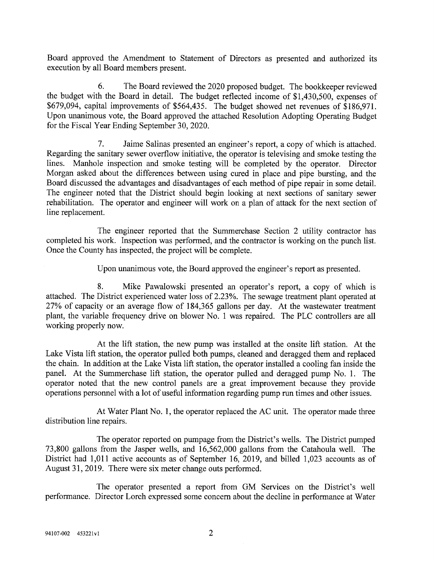Board approved the Amendment to Statement of Directors as presented and authorized its execution by all Board members present.

6. The Board reviewed the 2020 proposed budget. The bookkeeper reviewed the budget with the Board in detail. The budget reflected income of \$1,430,500, expenses of \$679,094, capital improvements of \$564,435. The budget showed net revenues of \$186,971. Upon unanimous vote, the Board approved the attached Resolution Adopting Operating Budget for the Fiscal Year Ending September 30, 2020.

7. Jaime Salinas presented an engineer's report, a copy of which is attached. Regarding the sanitary sewer overflow initiative, the operator is televising and smoke testing the lines. Manhole inspection and smoke testing will be completed by the operator. Director Morgan asked about the differences between using cured in place and pipe bursting, and the Board discussed the advantages and disadvantages of each method of pipe repair in some detail. The engineer noted that the District should begin looking at next sections of sanitary sewer rehabilitation. The operator and engineer will work on a plan of attack for the next section of line replacement.

The engineer reported that the Summerchase Section 2 utility contractor has completed his work. Inspection was performed, and the contractor is working on the punch list. Once the County has inspected, the project will be complete.

Upon unanimous vote, the Board approved the engineer's report as presented.

8. Mike Pawalowski presented an operator's report, a copy of which is attached. The District experienced water loss of 2.23%. The sewage treatment plant operated at 27% of capacity or an average flow of 184,365 gallons per day. At the wastewater treatment plant, the variable frequency drive on blower No. 1 was repaired. The PLC controllers are all working properly now.

At the lift station, the new pump was installed at the onsite lift station. At the Lake Vista lift station, the operator pulled both pumps, cleaned and deragged them and replaced the chain. In addition at the Lake Vista lift station, the operator installed a cooling fan inside the panel. At the Summerchase lift station, the operator pulled and deragged pump No. 1. The operator noted that the new control panels are a great improvement because they provide operations personnel with a lot of useful information regarding pump run times and other issues.

At Water Plant No. 1, the operator replaced the AC unit. The operator made three distribution line repairs.

The operator reported on pumpage from the District's wells. The District pumped 73,800 gallons from the Jasper wells, and 16,562,000 gallons from the Catahoula well. The District had 1,011 active accounts as of September 16, 2019, and billed 1,023 accounts as of August 31, 2019. There were six meter change outs performed.

The operator presented a report from GM Services on the District's well performance. Director Lorch expressed some concern about the decline in performance at Water